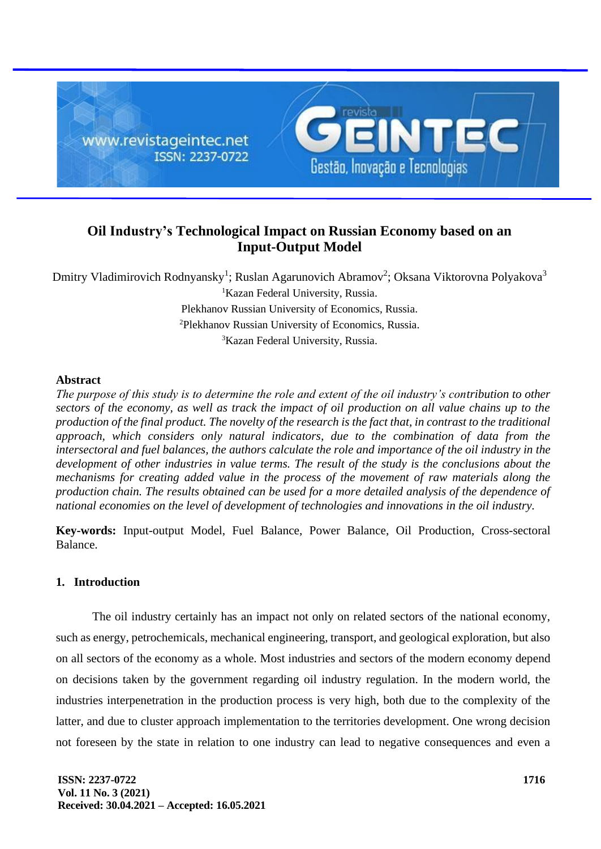

# **Oil Industry's Technological Impact on Russian Economy based on an Input-Output Model**

Dmitry Vladimirovich Rodnyansky<sup>1</sup>; Ruslan Agarunovich Abramov<sup>2</sup>; Oksana Viktorovna Polyakova<sup>3</sup> <sup>1</sup>Kazan Federal University, Russia. Plekhanov Russian University of Economics, Russia. <sup>2</sup>Plekhanov Russian University of Economics, Russia. <sup>3</sup>Kazan Federal University, Russia.

### **Abstract**

*The purpose of this study is to determine the role and extent of the oil industry's contribution to other sectors of the economy, as well as track the impact of oil production on all value chains up to the production of the final product. The novelty of the research is the fact that, in contrast to the traditional approach, which considers only natural indicators, due to the combination of data from the intersectoral and fuel balances, the authors calculate the role and importance of the oil industry in the development of other industries in value terms. The result of the study is the conclusions about the mechanisms for creating added value in the process of the movement of raw materials along the production chain. The results obtained can be used for a more detailed analysis of the dependence of national economies on the level of development of technologies and innovations in the oil industry.*

**Key-words:** Input-output Model, Fuel Balance, Power Balance, Oil Production, Cross-sectoral Balance.

# **1. Introduction**

The oil industry certainly has an impact not only on related sectors of the national economy, such as energy, petrochemicals, mechanical engineering, transport, and geological exploration, but also on all sectors of the economy as a whole. Most industries and sectors of the modern economy depend on decisions taken by the government regarding oil industry regulation. In the modern world, the industries interpenetration in the production process is very high, both due to the complexity of the latter, and due to cluster approach implementation to the territories development. One wrong decision not foreseen by the state in relation to one industry can lead to negative consequences and even a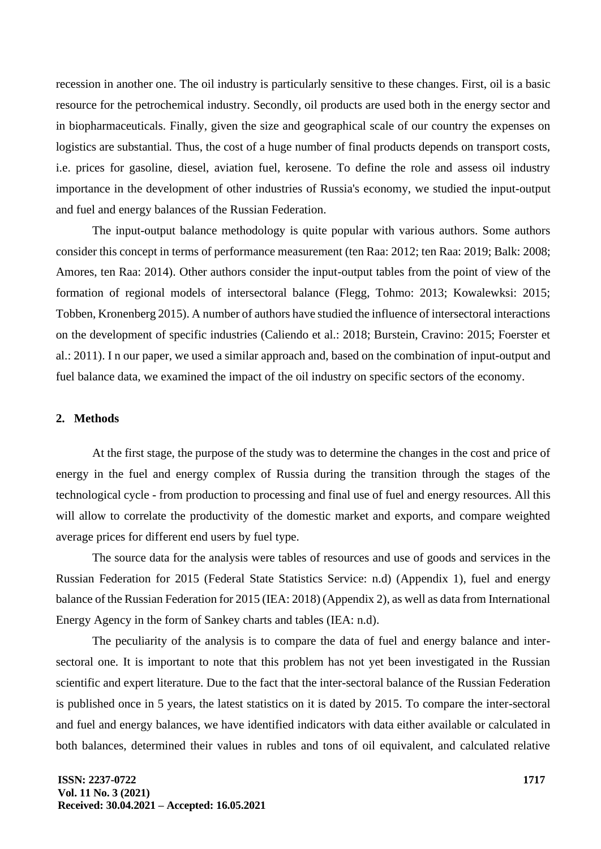recession in another one. The oil industry is particularly sensitive to these changes. First, oil is a basic resource for the petrochemical industry. Secondly, oil products are used both in the energy sector and in biopharmaceuticals. Finally, given the size and geographical scale of our country the expenses on logistics are substantial. Thus, the cost of a huge number of final products depends on transport costs, i.e. prices for gasoline, diesel, aviation fuel, kerosene. To define the role and assess oil industry importance in the development of other industries of Russia's economy, we studied the input-output and fuel and energy balances of the Russian Federation.

The input-output balance methodology is quite popular with various authors. Some authors consider this concept in terms of performance measurement (ten Raa: 2012; ten Raa: 2019; Balk: 2008; Amores, ten Raa: 2014). Other authors consider the input-output tables from the point of view of the formation of regional models of intersectoral balance (Flegg, Tohmo: 2013; Kowalewksi: 2015; Tobben, Kronenberg 2015). A number of authors have studied the influence of intersectoral interactions on the development of specific industries (Caliendo et al.: 2018; Burstein, Cravino: 2015; Foerster et al.: 2011). I n our paper, we used a similar approach and, based on the combination of input-output and fuel balance data, we examined the impact of the oil industry on specific sectors of the economy.

#### **2. Methods**

At the first stage, the purpose of the study was to determine the changes in the cost and price of energy in the fuel and energy complex of Russia during the transition through the stages of the technological cycle - from production to processing and final use of fuel and energy resources. All this will allow to correlate the productivity of the domestic market and exports, and compare weighted average prices for different end users by fuel type.

The source data for the analysis were tables of resources and use of goods and services in the Russian Federation for 2015 (Federal State Statistics Service: n.d) (Appendix 1), fuel and energy balance of the Russian Federation for 2015 (IEA: 2018) (Appendix 2), as well as data from International Energy Agency in the form of Sankey charts and tables (IEA: n.d).

The peculiarity of the analysis is to compare the data of fuel and energy balance and intersectoral one. It is important to note that this problem has not yet been investigated in the Russian scientific and expert literature. Due to the fact that the inter-sectoral balance of the Russian Federation is published once in 5 years, the latest statistics on it is dated by 2015. To compare the inter-sectoral and fuel and energy balances, we have identified indicators with data either available or calculated in both balances, determined their values in rubles and tons of oil equivalent, and calculated relative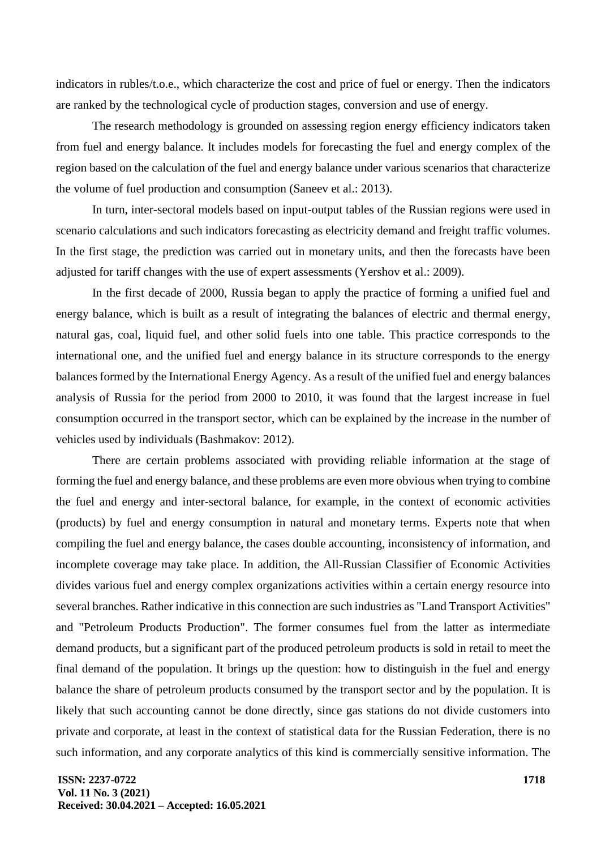indicators in rubles/t.o.e., which characterize the cost and price of fuel or energy. Then the indicators are ranked by the technological cycle of production stages, conversion and use of energy.

The research methodology is grounded on assessing region energy efficiency indicators taken from fuel and energy balance. It includes models for forecasting the fuel and energy complex of the region based on the calculation of the fuel and energy balance under various scenarios that characterize the volume of fuel production and consumption (Saneev et al.: 2013).

In turn, inter-sectoral models based on input-output tables of the Russian regions were used in scenario calculations and such indicators forecasting as electricity demand and freight traffic volumes. In the first stage, the prediction was carried out in monetary units, and then the forecasts have been adjusted for tariff changes with the use of expert assessments (Yershov et al.: 2009).

In the first decade of 2000, Russia began to apply the practice of forming a unified fuel and energy balance, which is built as a result of integrating the balances of electric and thermal energy, natural gas, coal, liquid fuel, and other solid fuels into one table. This practice corresponds to the international one, and the unified fuel and energy balance in its structure corresponds to the energy balances formed by the International Energy Agency. As a result of the unified fuel and energy balances analysis of Russia for the period from 2000 to 2010, it was found that the largest increase in fuel consumption occurred in the transport sector, which can be explained by the increase in the number of vehicles used by individuals (Bashmakov: 2012).

There are certain problems associated with providing reliable information at the stage of forming the fuel and energy balance, and these problems are even more obvious when trying to combine the fuel and energy and inter-sectoral balance, for example, in the context of economic activities (products) by fuel and energy consumption in natural and monetary terms. Experts note that when compiling the fuel and energy balance, the cases double accounting, inconsistency of information, and incomplete coverage may take place. In addition, the All-Russian Classifier of Economic Activities divides various fuel and energy complex organizations activities within a certain energy resource into several branches. Rather indicative in this connection are such industries as "Land Transport Activities" and "Petroleum Products Production". The former consumes fuel from the latter as intermediate demand products, but a significant part of the produced petroleum products is sold in retail to meet the final demand of the population. It brings up the question: how to distinguish in the fuel and energy balance the share of petroleum products consumed by the transport sector and by the population. It is likely that such accounting cannot be done directly, since gas stations do not divide customers into private and corporate, at least in the context of statistical data for the Russian Federation, there is no such information, and any corporate analytics of this kind is commercially sensitive information. The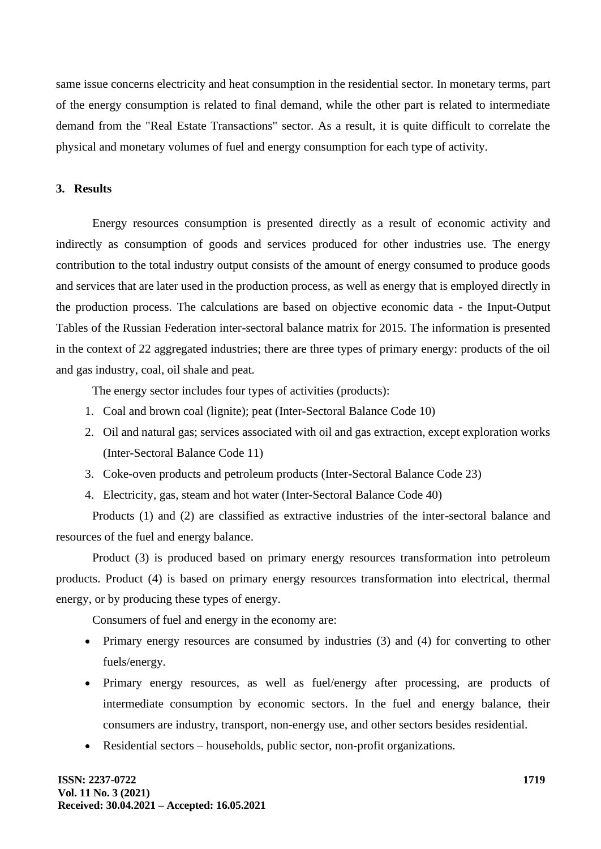same issue concerns electricity and heat consumption in the residential sector. In monetary terms, part of the energy consumption is related to final demand, while the other part is related to intermediate demand from the "Real Estate Transactions" sector. As a result, it is quite difficult to correlate the physical and monetary volumes of fuel and energy consumption for each type of activity.

#### **3. Results**

Energy resources consumption is presented directly as a result of economic activity and indirectly as consumption of goods and services produced for other industries use. The energy contribution to the total industry output consists of the amount of energy consumed to produce goods and services that are later used in the production process, as well as energy that is employed directly in the production process. The calculations are based on objective economic data - the Input-Output Tables of the Russian Federation inter-sectoral balance matrix for 2015. The information is presented in the context of 22 aggregated industries; there are three types of primary energy: products of the oil and gas industry, coal, oil shale and peat.

The energy sector includes four types of activities (products):

- 1. Coal and brown coal (lignite); peat (Inter-Sectoral Balance Code 10)
- 2. Oil and natural gas; services associated with oil and gas extraction, except exploration works (Inter-Sectoral Balance Code 11)
- 3. Coke-oven products and petroleum products (Inter-Sectoral Balance Code 23)
- 4. Electricity, gas, steam and hot water (Inter-Sectoral Balance Code 40)

Products (1) and (2) are classified as extractive industries of the inter-sectoral balance and resources of the fuel and energy balance.

Product (3) is produced based on primary energy resources transformation into petroleum products. Product (4) is based on primary energy resources transformation into electrical, thermal energy, or by producing these types of energy.

Consumers of fuel and energy in the economy are:

- Primary energy resources are consumed by industries (3) and (4) for converting to other fuels/energy.
- Primary energy resources, as well as fuel/energy after processing, are products of intermediate consumption by economic sectors. In the fuel and energy balance, their consumers are industry, transport, non-energy use, and other sectors besides residential.
- Residential sectors households, public sector, non-profit organizations.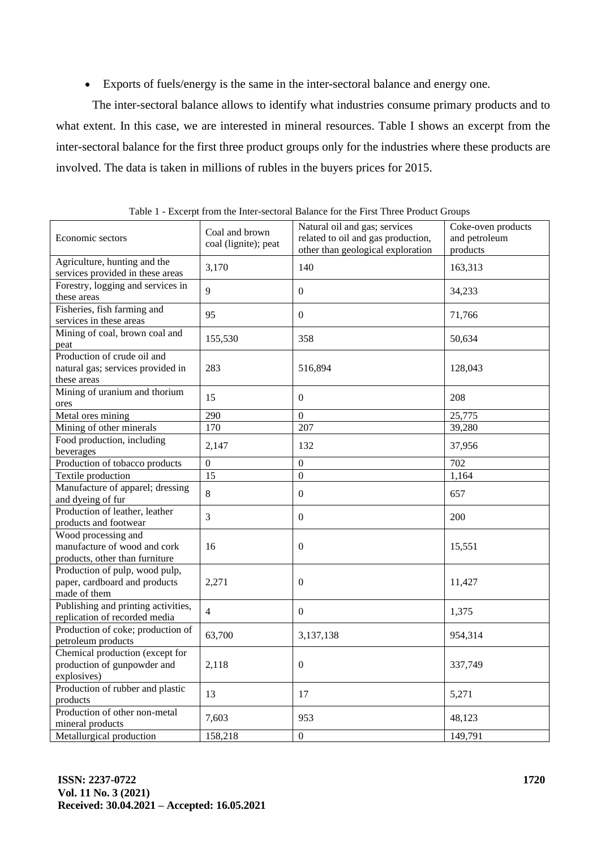• Exports of fuels/energy is the same in the inter-sectoral balance and energy one.

The inter-sectoral balance allows to identify what industries consume primary products and to what extent. In this case, we are interested in mineral resources. Table I shows an excerpt from the inter-sectoral balance for the first three product groups only for the industries where these products are involved. The data is taken in millions of rubles in the buyers prices for 2015.

| Economic sectors                                                                      | Coal and brown<br>coal (lignite); peat | Natural oil and gas; services<br>related to oil and gas production,<br>other than geological exploration | Coke-oven products<br>and petroleum<br>products |
|---------------------------------------------------------------------------------------|----------------------------------------|----------------------------------------------------------------------------------------------------------|-------------------------------------------------|
| Agriculture, hunting and the<br>services provided in these areas                      | 3,170                                  | 140                                                                                                      | 163,313                                         |
| Forestry, logging and services in<br>these areas                                      | $\mathbf Q$                            | $\mathbf{0}$                                                                                             | 34,233                                          |
| Fisheries, fish farming and<br>services in these areas                                | 95                                     | $\boldsymbol{0}$                                                                                         | 71,766                                          |
| Mining of coal, brown coal and<br>peat                                                | 155,530                                | 358                                                                                                      | 50,634                                          |
| Production of crude oil and<br>natural gas; services provided in<br>these areas       | 283                                    | 516,894                                                                                                  | 128,043                                         |
| Mining of uranium and thorium<br>ores                                                 | 15                                     | $\boldsymbol{0}$                                                                                         | 208                                             |
| Metal ores mining                                                                     | 290                                    | $\overline{0}$                                                                                           | 25,775                                          |
| Mining of other minerals                                                              | 170                                    | 207                                                                                                      | 39,280                                          |
| Food production, including<br>beverages                                               | 2,147                                  | 132                                                                                                      | 37,956                                          |
| Production of tobacco products                                                        | $\overline{0}$                         | $\boldsymbol{0}$                                                                                         | 702                                             |
| Textile production                                                                    | 15                                     | $\overline{0}$                                                                                           | 1,164                                           |
| Manufacture of apparel; dressing<br>and dyeing of fur                                 | 8                                      | $\overline{0}$                                                                                           | 657                                             |
| Production of leather, leather<br>products and footwear                               | 3                                      | $\boldsymbol{0}$                                                                                         | 200                                             |
| Wood processing and<br>manufacture of wood and cork<br>products, other than furniture | 16                                     | $\mathbf{0}$                                                                                             | 15,551                                          |
| Production of pulp, wood pulp,<br>paper, cardboard and products<br>made of them       | 2,271                                  | $\overline{0}$                                                                                           | 11,427                                          |
| Publishing and printing activities,<br>replication of recorded media                  | $\overline{4}$                         | $\overline{0}$                                                                                           | 1,375                                           |
| Production of coke; production of<br>petroleum products                               | 63,700                                 | 3,137,138                                                                                                | 954,314                                         |
| Chemical production (except for<br>production of gunpowder and<br>explosives)         | 2,118                                  | $\overline{0}$                                                                                           | 337,749                                         |
| Production of rubber and plastic<br>products                                          | 13                                     | 17                                                                                                       | 5,271                                           |
| Production of other non-metal<br>mineral products                                     | 7,603                                  | 953                                                                                                      | 48,123                                          |
| Metallurgical production                                                              | 158,218                                | $\boldsymbol{0}$                                                                                         | 149,791                                         |

Table 1 - Excerpt from the Inter-sectoral Balance for the First Three Product Groups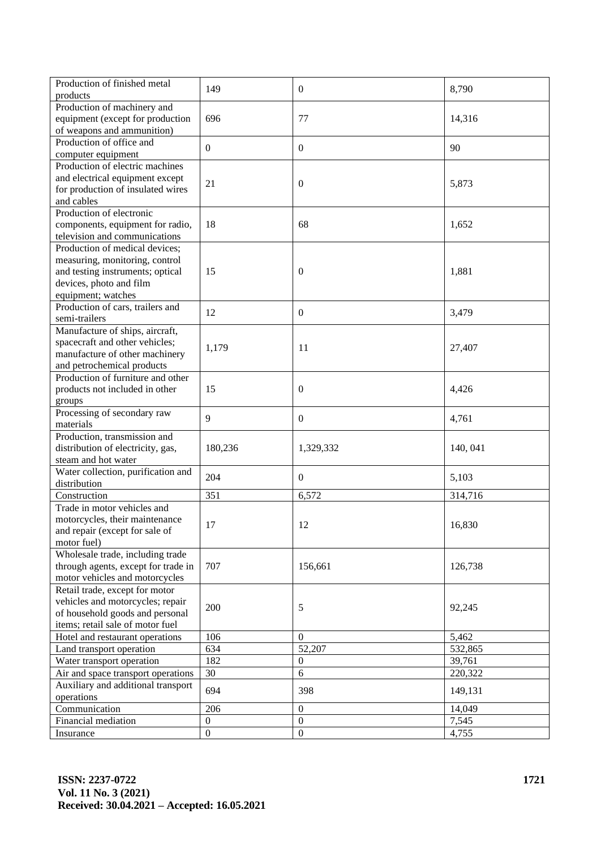| Production of finished metal                           | 149                                  | $\overline{0}$                       | 8,790    |
|--------------------------------------------------------|--------------------------------------|--------------------------------------|----------|
| products                                               |                                      |                                      |          |
| Production of machinery and                            |                                      |                                      |          |
| equipment (except for production                       | 696                                  | 77                                   | 14,316   |
| of weapons and ammunition)<br>Production of office and |                                      |                                      |          |
|                                                        | $\mathbf{0}$                         | $\boldsymbol{0}$                     | 90       |
| computer equipment                                     |                                      |                                      |          |
| Production of electric machines                        |                                      |                                      |          |
| and electrical equipment except                        | 21                                   | $\mathbf{0}$                         | 5,873    |
| for production of insulated wires<br>and cables        |                                      |                                      |          |
| Production of electronic                               |                                      |                                      |          |
| components, equipment for radio,                       | 18                                   | 68                                   | 1,652    |
| television and communications                          |                                      |                                      |          |
| Production of medical devices;                         |                                      |                                      |          |
| measuring, monitoring, control                         |                                      |                                      |          |
| and testing instruments; optical                       | 15                                   | $\mathbf{0}$                         | 1,881    |
| devices, photo and film                                |                                      |                                      |          |
| equipment; watches                                     |                                      |                                      |          |
| Production of cars, trailers and                       |                                      |                                      |          |
| semi-trailers                                          | 12                                   | $\overline{0}$                       | 3,479    |
| Manufacture of ships, aircraft,                        |                                      |                                      |          |
| spacecraft and other vehicles;                         |                                      |                                      |          |
| manufacture of other machinery                         | 1,179                                | 11                                   | 27,407   |
| and petrochemical products                             |                                      |                                      |          |
| Production of furniture and other                      |                                      |                                      |          |
| products not included in other                         | 15                                   | $\boldsymbol{0}$                     | 4,426    |
| groups                                                 |                                      |                                      |          |
| Processing of secondary raw                            |                                      |                                      |          |
| materials                                              | 9                                    | $\mathbf{0}$                         | 4,761    |
| Production, transmission and                           |                                      |                                      |          |
| distribution of electricity, gas,                      | 180,236                              | 1,329,332                            | 140, 041 |
| steam and hot water                                    |                                      |                                      |          |
| Water collection, purification and                     | 204                                  | $\mathbf{0}$                         | 5,103    |
| distribution                                           |                                      |                                      |          |
| Construction                                           | 351                                  | 6,572                                | 314,716  |
| Trade in motor vehicles and                            |                                      |                                      |          |
| motorcycles, their maintenance                         | 17                                   | 12                                   | 16,830   |
| and repair (except for sale of                         |                                      |                                      |          |
| motor fuel)                                            |                                      |                                      |          |
| Wholesale trade, including trade                       |                                      |                                      |          |
| through agents, except for trade in                    | 707                                  | 156,661                              | 126,738  |
| motor vehicles and motorcycles                         |                                      |                                      |          |
| Retail trade, except for motor                         |                                      |                                      |          |
| vehicles and motorcycles; repair                       | 200                                  | 5                                    | 92,245   |
| of household goods and personal                        |                                      |                                      |          |
| items; retail sale of motor fuel                       |                                      |                                      |          |
| Hotel and restaurant operations                        | 106                                  | $\mathbf{0}$                         | 5,462    |
| Land transport operation                               | 634                                  | 52,207                               | 532,865  |
| Water transport operation                              | 182                                  | $\mathbf{0}$                         | 39,761   |
| Air and space transport operations                     | 30                                   | 6                                    | 220,322  |
| Auxiliary and additional transport                     | 694                                  | 398                                  | 149,131  |
| operations                                             |                                      |                                      |          |
| Communication                                          | 206                                  | $\boldsymbol{0}$                     | 14,049   |
| Financial mediation                                    | $\boldsymbol{0}$<br>$\boldsymbol{0}$ | $\boldsymbol{0}$<br>$\boldsymbol{0}$ | 7,545    |
| Insurance                                              |                                      |                                      | 4,755    |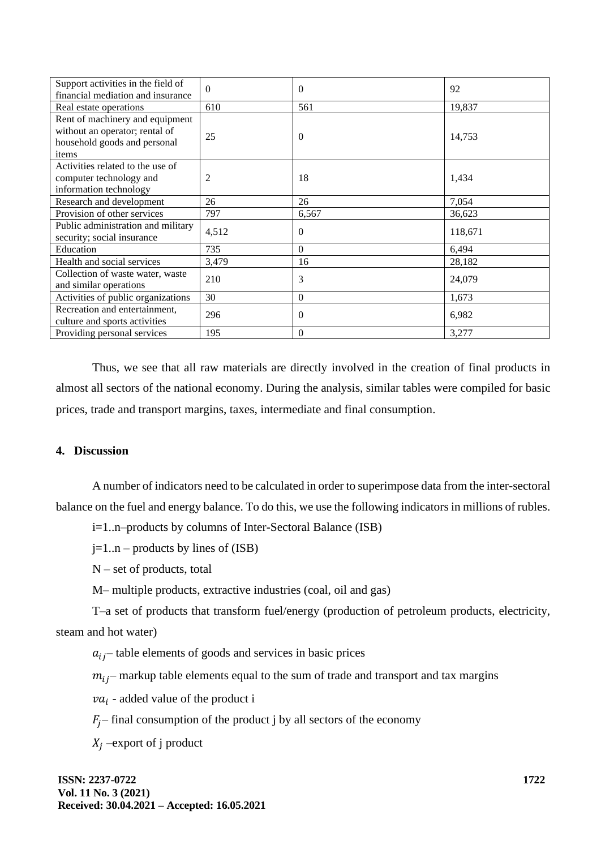| Support activities in the field of | $\Omega$ | $\Omega$ | 92      |  |
|------------------------------------|----------|----------|---------|--|
| financial mediation and insurance  |          |          |         |  |
| Real estate operations             | 610      | 561      | 19,837  |  |
| Rent of machinery and equipment    |          |          |         |  |
| without an operator; rental of     | 25       | $\Omega$ | 14,753  |  |
| household goods and personal       |          |          |         |  |
| items                              |          |          |         |  |
| Activities related to the use of   |          |          |         |  |
| computer technology and            | 2        | 18       | 1,434   |  |
| information technology             |          |          |         |  |
| Research and development           | 26       | 26       | 7,054   |  |
| Provision of other services        | 797      | 6,567    | 36,623  |  |
| Public administration and military | 4,512    | $\Omega$ | 118,671 |  |
| security; social insurance         |          |          |         |  |
| Education                          | 735      | $\Omega$ | 6,494   |  |
| Health and social services         | 3,479    | 16       | 28,182  |  |
| Collection of waste water, waste   | 210      | 3        | 24,079  |  |
| and similar operations             |          |          |         |  |
| Activities of public organizations | 30       | $\Omega$ | 1,673   |  |
| Recreation and entertainment,      |          | $\Omega$ |         |  |
| culture and sports activities      | 296      |          | 6,982   |  |
| Providing personal services        | 195      | $\Omega$ | 3,277   |  |

Thus, we see that all raw materials are directly involved in the creation of final products in almost all sectors of the national economy. During the analysis, similar tables were compiled for basic prices, trade and transport margins, taxes, intermediate and final consumption.

### **4. Discussion**

A number of indicators need to be calculated in order to superimpose data from the inter-sectoral balance on the fuel and energy balance. To do this, we use the following indicators in millions of rubles.

i=1..n–products by columns of Inter-Sectoral Balance (ISB)

 $j=1..n$  – products by lines of (ISB)

N – set of products, total

M– multiple products, extractive industries (coal, oil and gas)

T–a set of products that transform fuel/energy (production of petroleum products, electricity, steam and hot water)

 $a_{ij}$  table elements of goods and services in basic prices

 $m_{ij}$  – markup table elements equal to the sum of trade and transport and tax margins

 $va_i$  - added value of the product i

 $F_i$ – final consumption of the product j by all sectors of the economy

 $X_i$  –export of j product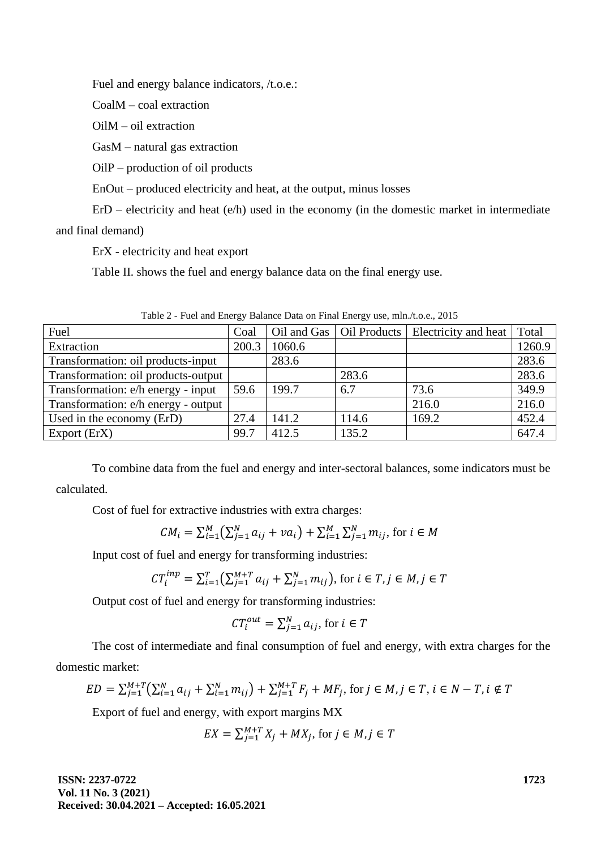Fuel and energy balance indicators, /t.o.e.:

CoalM – coal extraction

OilM – oil extraction

GasM – natural gas extraction

OilP – production of oil products

EnOut – produced electricity and heat, at the output, minus losses

 $E_{\rm r}$ D – electricity and heat (e/h) used in the economy (in the domestic market in intermediate

and final demand)

ErX - electricity and heat export

Table II. shows the fuel and energy balance data on the final energy use.

| Fuel                                | Coal  |        |       | Oil and Gas   Oil Products   Electricity and heat | Total  |
|-------------------------------------|-------|--------|-------|---------------------------------------------------|--------|
| Extraction                          | 200.3 | 1060.6 |       |                                                   | 1260.9 |
| Transformation: oil products-input  |       | 283.6  |       |                                                   | 283.6  |
| Transformation: oil products-output |       |        | 283.6 |                                                   | 283.6  |
| Transformation: e/h energy - input  | 59.6  | 199.7  | 6.7   | 73.6                                              | 349.9  |
| Transformation: e/h energy - output |       |        |       | 216.0                                             | 216.0  |
| Used in the economy (ErD)           | 27.4  | 141.2  | 114.6 | 169.2                                             | 452.4  |
| Export (ErX)                        | 99.7  | 412.5  | 135.2 |                                                   | 647.4  |

Table 2 - Fuel and Energy Balance Data on Final Energy use, mln./t.o.e., 2015

To combine data from the fuel and energy and inter-sectoral balances, some indicators must be calculated.

Cost of fuel for extractive industries with extra charges:

$$
CM_i = \sum_{i=1}^{M} \left( \sum_{j=1}^{N} a_{ij} + va_i \right) + \sum_{i=1}^{M} \sum_{j=1}^{N} m_{ij}, \text{ for } i \in M
$$

Input cost of fuel and energy for transforming industries:

$$
CT_i^{inp} = \sum_{i=1}^{T} (\sum_{j=1}^{M+T} a_{ij} + \sum_{j=1}^{N} m_{ij}), \text{ for } i \in T, j \in M, j \in T
$$

Output cost of fuel and energy for transforming industries:

$$
CT_i^{out} = \sum_{j=1}^{N} a_{ij}, \text{ for } i \in T
$$

The cost of intermediate and final consumption of fuel and energy, with extra charges for the domestic market:

$$
ED = \sum_{j=1}^{M+T} \left( \sum_{i=1}^{N} a_{ij} + \sum_{i=1}^{N} m_{ij} \right) + \sum_{j=1}^{M+T} F_j + MF_j, \text{ for } j \in M, j \in T, i \in N - T, i \notin T
$$

Export of fuel and energy, with export margins MX

$$
EX = \sum_{j=1}^{M+T} X_j + MX_j, \text{ for } j \in M, j \in T
$$

**ISSN: 2237-0722 Vol. 11 No. 3 (2021) Received: 30.04.2021 – Accepted: 16.05.2021** **1723**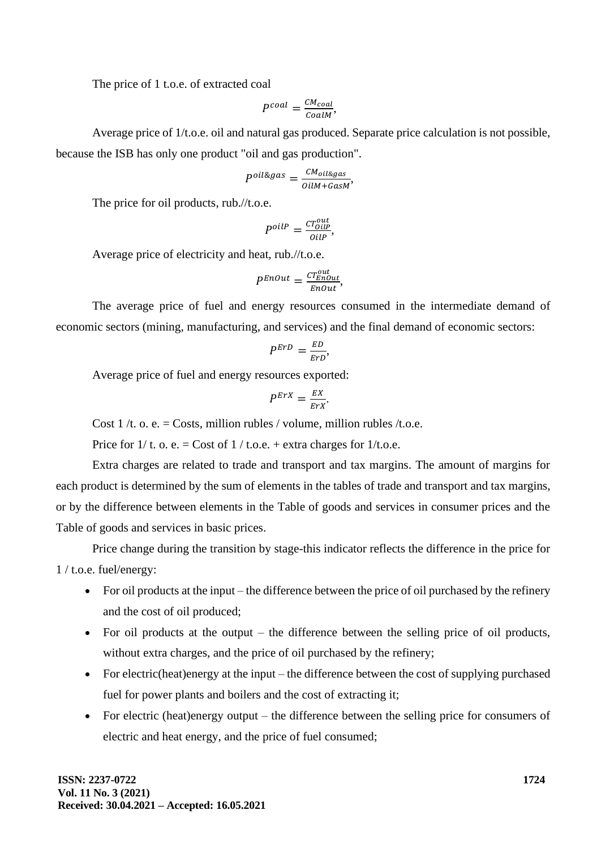The price of 1 t.o.e. of extracted coal

$$
P^{coal} = \frac{CM_{coal}}{CoalM},
$$

Average price of 1/t.o.e. oil and natural gas produced. Separate price calculation is not possible, because the ISB has only one product "oil and gas production".

$$
P^{oil\&gas} = \frac{CM_{oil\&gas}}{oilM + GasM},
$$

The price for oil products, rub.//t.o.e.

$$
P^{oilP} = \frac{cT_{OillP}^{out}}{OilP},
$$

Average price of electricity and heat, rub.//t.o.e.

$$
P^{EnOut} = \frac{cT_{EnOut}^{out}}{EnOut},
$$

The average price of fuel and energy resources consumed in the intermediate demand of economic sectors (mining, manufacturing, and services) and the final demand of economic sectors:

$$
P^{ErD} = \frac{ED}{ErD},
$$

Average price of fuel and energy resources exported:

$$
P^{ErX} = \frac{EX}{ErX}.
$$

Cost 1 /t. o. e. = Costs, million rubles / volume, million rubles /t.o.e.

Price for  $1/t$ . o. e. = Cost of  $1/t$ . o.e. + extra charges for  $1/t$ . o.e.

Extra charges are related to trade and transport and tax margins. The amount of margins for each product is determined by the sum of elements in the tables of trade and transport and tax margins, or by the difference between elements in the Table of goods and services in consumer prices and the Table of goods and services in basic prices.

Price change during the transition by stage-this indicator reflects the difference in the price for 1 / t.o.e. fuel/energy:

- For oil products at the input the difference between the price of oil purchased by the refinery and the cost of oil produced;
- For oil products at the output the difference between the selling price of oil products, without extra charges, and the price of oil purchased by the refinery;
- For electric(heat)energy at the input the difference between the cost of supplying purchased fuel for power plants and boilers and the cost of extracting it;
- For electric (heat)energy output the difference between the selling price for consumers of electric and heat energy, and the price of fuel consumed;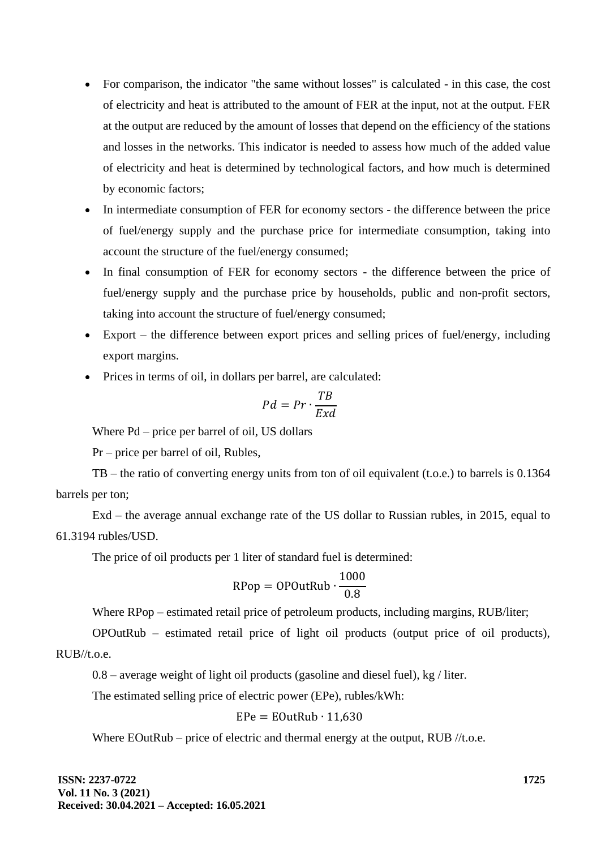- For comparison, the indicator "the same without losses" is calculated in this case, the cost of electricity and heat is attributed to the amount of FER at the input, not at the output. FER at the output are reduced by the amount of losses that depend on the efficiency of the stations and losses in the networks. This indicator is needed to assess how much of the added value of electricity and heat is determined by technological factors, and how much is determined by economic factors;
- In intermediate consumption of FER for economy sectors the difference between the price of fuel/energy supply and the purchase price for intermediate consumption, taking into account the structure of the fuel/energy consumed;
- In final consumption of FER for economy sectors the difference between the price of fuel/energy supply and the purchase price by households, public and non-profit sectors, taking into account the structure of fuel/energy consumed;
- Export the difference between export prices and selling prices of fuel/energy, including export margins.
- Prices in terms of oil, in dollars per barrel, are calculated:

$$
Pd = Pr \cdot \frac{TB}{Exd}
$$

Where Pd – price per barrel of oil, US dollars

Pr – price per barrel of oil, Rubles,

TB – the ratio of converting energy units from ton of oil equivalent (t.o.e.) to barrels is 0.1364 barrels per ton;

Exd – the average annual exchange rate of the US dollar to Russian rubles, in 2015, equal to 61.3194 rubles/USD.

The price of oil products per 1 liter of standard fuel is determined:

$$
RPop = OPOutRub \cdot \frac{1000}{0.8}
$$

Where RPop – estimated retail price of petroleum products, including margins, RUB/liter;

OPOutRub – estimated retail price of light oil products (output price of oil products), RUB//t.o.e.

0.8 – average weight of light oil products (gasoline and diesel fuel), kg / liter.

The estimated selling price of electric power (EPe), rubles/kWh:

$$
EPe = EOutRub \cdot 11,630
$$

Where EOutRub – price of electric and thermal energy at the output, RUB //t.o.e.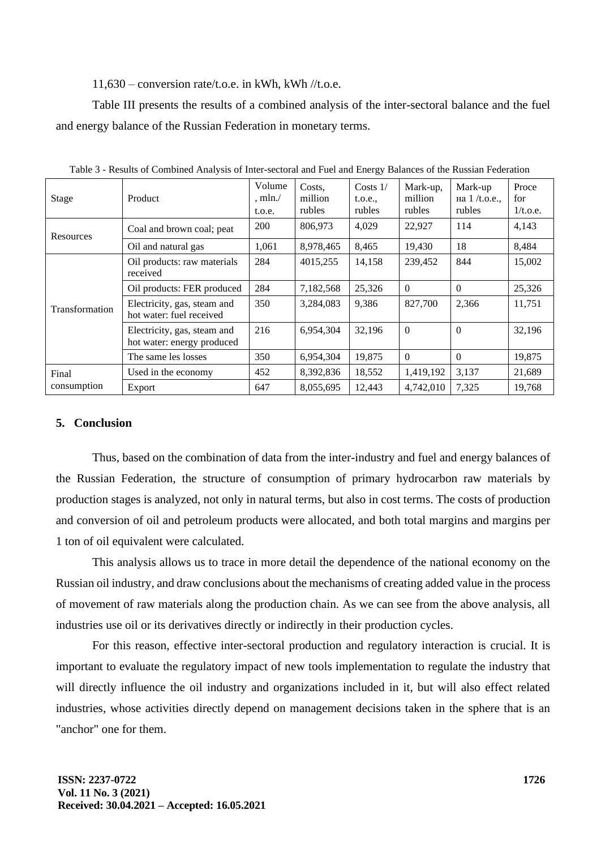#### $11.630$  – conversion rate/t.o.e. in kWh, kWh //t.o.e.

Table III presents the results of a combined analysis of the inter-sectoral balance and the fuel and energy balance of the Russian Federation in monetary terms.

| <b>Stage</b>          | Product                                                   | Volume<br>$,$ mln. $/$<br>t.o.e. | Costs,<br>million<br>rubles | $Costs$ 1/<br>t.o.e.,<br>rubles | Mark-up,<br>million<br>rubles | Mark-up<br>на $1/t.o.e.,$<br>rubles | Proce<br>for<br>1/t.o.e. |
|-----------------------|-----------------------------------------------------------|----------------------------------|-----------------------------|---------------------------------|-------------------------------|-------------------------------------|--------------------------|
| Resources             | Coal and brown coal; peat                                 | <b>200</b>                       | 806,973                     | 4,029                           | 22,927                        | 114                                 | 4,143                    |
|                       | Oil and natural gas                                       | 1,061                            | 8,978,465                   | 8,465                           | 19,430                        | 18                                  | 8,484                    |
| <b>Transformation</b> | Oil products: raw materials<br>received                   | 284                              | 4015,255                    | 14,158                          | 239,452                       | 844                                 | 15,002                   |
|                       | Oil products: FER produced                                | 284                              | 7,182,568                   | 25,326                          | $\Omega$                      | $\Omega$                            | 25,326                   |
|                       | Electricity, gas, steam and<br>hot water: fuel received   | 350                              | 3,284,083                   | 9,386                           | 827,700                       | 2,366                               | 11,751                   |
|                       | Electricity, gas, steam and<br>hot water: energy produced | 216                              | 6,954,304                   | 32,196                          | $\theta$                      | $\Omega$                            | 32,196                   |
|                       | The same les losses                                       | 350                              | 6,954,304                   | 19,875                          | $\Omega$                      | $\Omega$                            | 19,875                   |
| Final<br>consumption  | Used in the economy                                       | 452                              | 8,392,836                   | 18,552                          | 1,419,192                     | 3,137                               | 21,689                   |
|                       | Export                                                    | 647                              | 8,055,695                   | 12,443                          | 4,742,010                     | 7,325                               | 19,768                   |

Table 3 - Results of Combined Analysis of Inter-sectoral and Fuel and Energy Balances of the Russian Federation

#### **5. Conclusion**

Thus, based on the combination of data from the inter-industry and fuel and energy balances of the Russian Federation, the structure of consumption of primary hydrocarbon raw materials by production stages is analyzed, not only in natural terms, but also in cost terms. The costs of production and conversion of oil and petroleum products were allocated, and both total margins and margins per 1 ton of oil equivalent were calculated.

This analysis allows us to trace in more detail the dependence of the national economy on the Russian oil industry, and draw conclusions about the mechanisms of creating added value in the process of movement of raw materials along the production chain. As we can see from the above analysis, all industries use oil or its derivatives directly or indirectly in their production cycles.

For this reason, effective inter-sectoral production and regulatory interaction is crucial. It is important to evaluate the regulatory impact of new tools implementation to regulate the industry that will directly influence the oil industry and organizations included in it, but will also effect related industries, whose activities directly depend on management decisions taken in the sphere that is an "anchor" one for them.